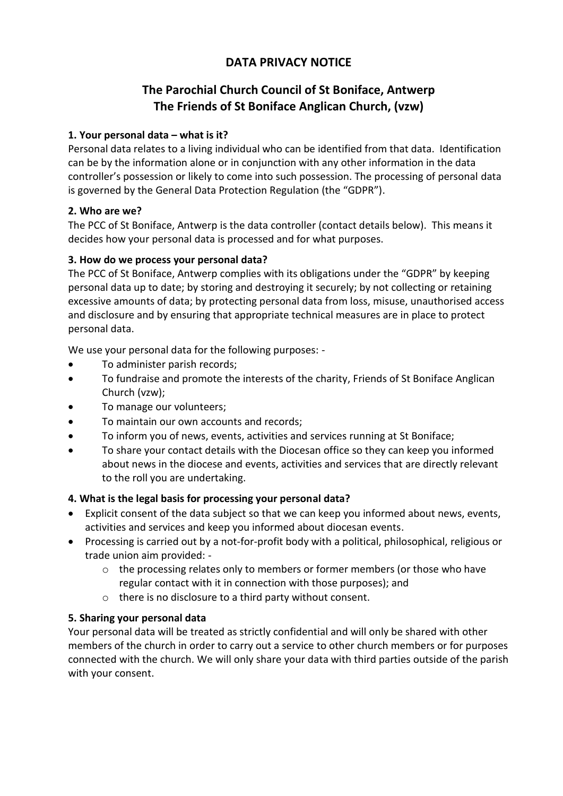# **DATA PRIVACY NOTICE**

# **The Parochial Church Council of St Boniface, Antwerp The Friends of St Boniface Anglican Church, (vzw)**

### **1. Your personal data – what is it?**

Personal data relates to a living individual who can be identified from that data. Identification can be by the information alone or in conjunction with any other information in the data controller's possession or likely to come into such possession. The processing of personal data is governed by the General Data Protection Regulation (the "GDPR").

#### **2. Who are we?**

The PCC of St Boniface, Antwerp is the data controller (contact details below). This means it decides how your personal data is processed and for what purposes.

### **3. How do we process your personal data?**

The PCC of St Boniface, Antwerp complies with its obligations under the "GDPR" by keeping personal data up to date; by storing and destroying it securely; by not collecting or retaining excessive amounts of data; by protecting personal data from loss, misuse, unauthorised access and disclosure and by ensuring that appropriate technical measures are in place to protect personal data.

We use your personal data for the following purposes: -

- To administer parish records;
- To fundraise and promote the interests of the charity, Friends of St Boniface Anglican Church (vzw);
- To manage our volunteers;
- To maintain our own accounts and records;
- To inform you of news, events, activities and services running at St Boniface;
- To share your contact details with the Diocesan office so they can keep you informed about news in the diocese and events, activities and services that are directly relevant to the roll you are undertaking.

## **4. What is the legal basis for processing your personal data?**

- Explicit consent of the data subject so that we can keep you informed about news, events, activities and services and keep you informed about diocesan events.
- Processing is carried out by a not-for-profit body with a political, philosophical, religious or trade union aim provided: -
	- $\circ$  the processing relates only to members or former members (or those who have regular contact with it in connection with those purposes); and
	- o there is no disclosure to a third party without consent.

#### **5. Sharing your personal data**

Your personal data will be treated as strictly confidential and will only be shared with other members of the church in order to carry out a service to other church members or for purposes connected with the church. We will only share your data with third parties outside of the parish with your consent.